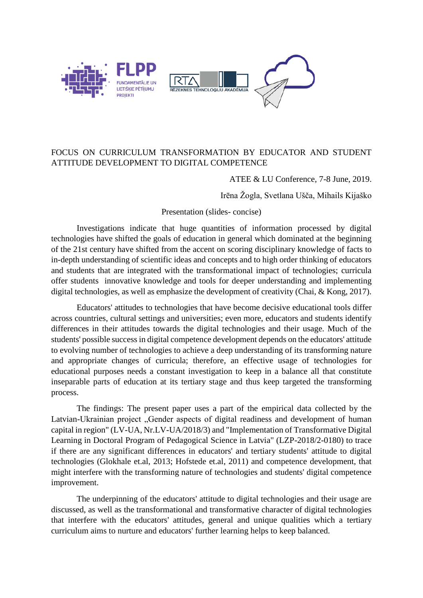

## FOCUS ON CURRICULUM TRANSFORMATION BY EDUCATOR AND STUDENT ATTITUDE DEVELOPMENT TO DIGITAL COMPETENCE

## ATEE & LU Conference, 7-8 June, 2019.

Irēna Žogla, Svetlana Ušča, Mihails Kijaško

## Presentation (slides- concise)

Investigations indicate that huge quantities of information processed by digital technologies have shifted the goals of education in general which dominated at the beginning of the 21st century have shifted from the accent on scoring disciplinary knowledge of facts to in-depth understanding of scientific ideas and concepts and to high order thinking of educators and students that are integrated with the transformational impact of technologies; curricula offer students innovative knowledge and tools for deeper understanding and implementing digital technologies, as well as emphasize the development of creativity (Chai, & Kong, 2017).

Educators' attitudes to technologies that have become decisive educational tools differ across countries, cultural settings and universities; even more, educators and students identify differences in their attitudes towards the digital technologies and their usage. Much of the students' possible success in digital competence development depends on the educators' attitude to evolving number of technologies to achieve a deep understanding of its transforming nature and appropriate changes of curricula; therefore, an effective usage of technologies for educational purposes needs a constant investigation to keep in a balance all that constitute inseparable parts of education at its tertiary stage and thus keep targeted the transforming process.

The findings: The present paper uses a part of the empirical data collected by the Latvian-Ukrainian project "Gender aspects of digital readiness and development of human capital in region" (LV-UA, Nr.LV-UA/2018/3) and "Implementation of Transformative Digital Learning in Doctoral Program of Pedagogical Science in Latvia" (LZP-2018/2-0180) to trace if there are any significant differences in educators' and tertiary students' attitude to digital technologies (Glokhale et.al, 2013; Hofstede et.al, 2011) and competence development, that might interfere with the transforming nature of technologies and students' digital competence improvement.

The underpinning of the educators' attitude to digital technologies and their usage are discussed, as well as the transformational and transformative character of digital technologies that interfere with the educators' attitudes, general and unique qualities which a tertiary curriculum aims to nurture and educators' further learning helps to keep balanced.